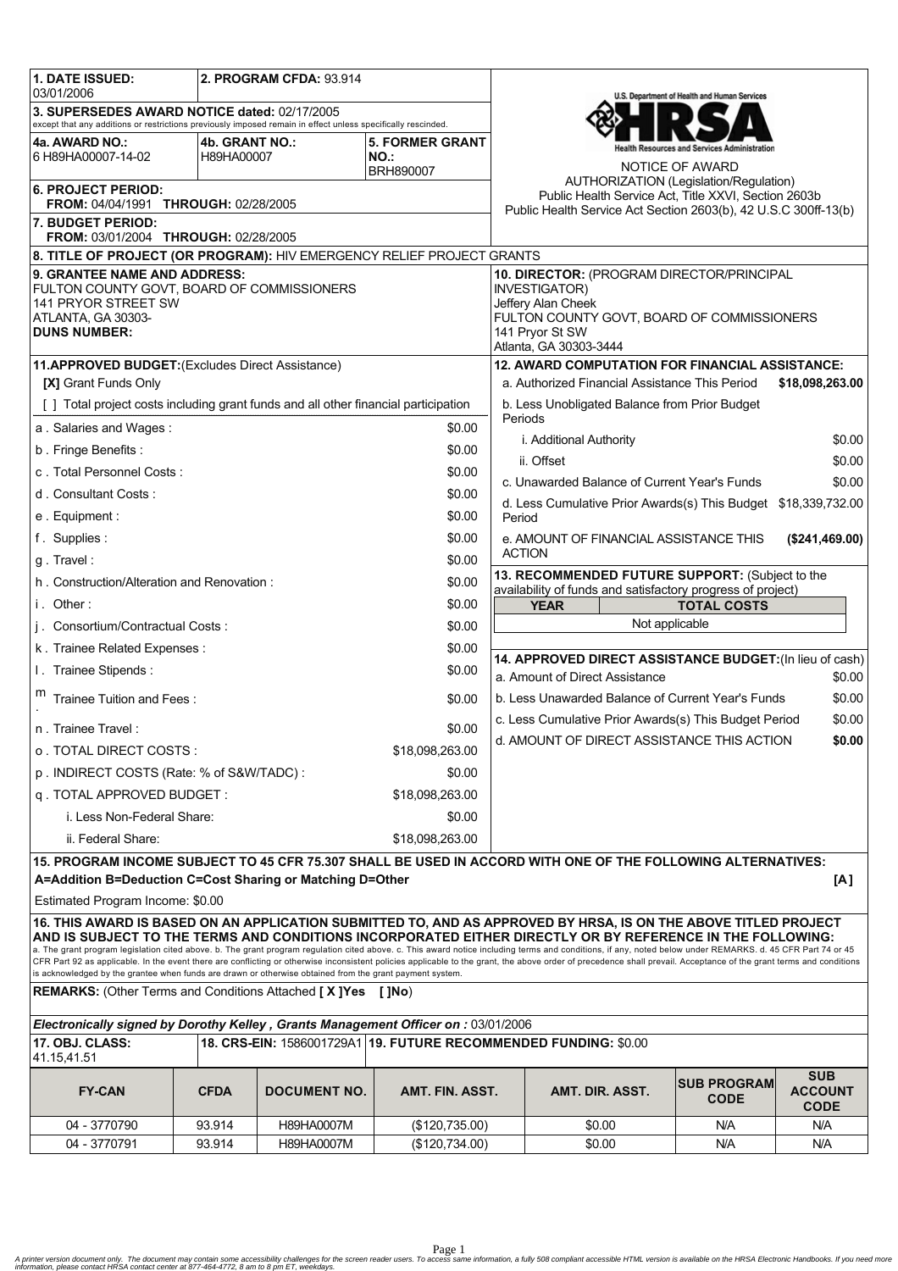| 1. DATE ISSUED:<br>03/01/2006                                                                                                                                                                                                                                                                                           |                | 2. PROGRAM CFDA: 93.914 |                        |                                                                           |                                                                                                                                                                                                                     | U.S. Department of Health and Human Services |                                             |  |  |
|-------------------------------------------------------------------------------------------------------------------------------------------------------------------------------------------------------------------------------------------------------------------------------------------------------------------------|----------------|-------------------------|------------------------|---------------------------------------------------------------------------|---------------------------------------------------------------------------------------------------------------------------------------------------------------------------------------------------------------------|----------------------------------------------|---------------------------------------------|--|--|
| 3. SUPERSEDES AWARD NOTICE dated: 02/17/2005<br>except that any additions or restrictions previously imposed remain in effect unless specifically rescinded.                                                                                                                                                            |                |                         |                        |                                                                           |                                                                                                                                                                                                                     |                                              |                                             |  |  |
| 4a. AWARD NO.:                                                                                                                                                                                                                                                                                                          | 4b. GRANT NO.: |                         | <b>5. FORMER GRANT</b> |                                                                           |                                                                                                                                                                                                                     |                                              |                                             |  |  |
| 6 H89HA00007-14-02                                                                                                                                                                                                                                                                                                      | H89HA00007     |                         | NO.:<br>BRH890007      |                                                                           |                                                                                                                                                                                                                     | NOTICE OF AWARD                              |                                             |  |  |
| <b>6. PROJECT PERIOD:</b>                                                                                                                                                                                                                                                                                               |                |                         |                        |                                                                           | AUTHORIZATION (Legislation/Regulation)                                                                                                                                                                              |                                              |                                             |  |  |
| FROM: 04/04/1991 THROUGH: 02/28/2005                                                                                                                                                                                                                                                                                    |                |                         |                        |                                                                           | Public Health Service Act, Title XXVI, Section 2603b<br>Public Health Service Act Section 2603(b), 42 U.S.C 300ff-13(b)                                                                                             |                                              |                                             |  |  |
| 7. BUDGET PERIOD:<br>FROM: 03/01/2004 THROUGH: 02/28/2005                                                                                                                                                                                                                                                               |                |                         |                        |                                                                           |                                                                                                                                                                                                                     |                                              |                                             |  |  |
| 8. TITLE OF PROJECT (OR PROGRAM): HIV EMERGENCY RELIEF PROJECT GRANTS                                                                                                                                                                                                                                                   |                |                         |                        |                                                                           |                                                                                                                                                                                                                     |                                              |                                             |  |  |
| 9. GRANTEE NAME AND ADDRESS:<br>FULTON COUNTY GOVT, BOARD OF COMMISSIONERS<br>141 PRYOR STREET SW<br>ATLANTA, GA 30303-<br><b>DUNS NUMBER:</b>                                                                                                                                                                          |                |                         |                        |                                                                           | 10. DIRECTOR: (PROGRAM DIRECTOR/PRINCIPAL<br><b>INVESTIGATOR)</b><br>Jeffery Alan Cheek<br>FULTON COUNTY GOVT, BOARD OF COMMISSIONERS<br>141 Pryor St SW<br>Atlanta, GA 30303-3444                                  |                                              |                                             |  |  |
| 11.APPROVED BUDGET: (Excludes Direct Assistance)                                                                                                                                                                                                                                                                        |                |                         |                        |                                                                           | <b>12. AWARD COMPUTATION FOR FINANCIAL ASSISTANCE:</b>                                                                                                                                                              |                                              |                                             |  |  |
| [X] Grant Funds Only                                                                                                                                                                                                                                                                                                    |                |                         |                        |                                                                           | a. Authorized Financial Assistance This Period<br>\$18,098,263.00                                                                                                                                                   |                                              |                                             |  |  |
| [] Total project costs including grant funds and all other financial participation                                                                                                                                                                                                                                      |                |                         |                        |                                                                           | b. Less Unobligated Balance from Prior Budget<br>Periods                                                                                                                                                            |                                              |                                             |  |  |
| a. Salaries and Wages:<br>\$0.00                                                                                                                                                                                                                                                                                        |                |                         |                        |                                                                           |                                                                                                                                                                                                                     |                                              |                                             |  |  |
| b. Fringe Benefits:                                                                                                                                                                                                                                                                                                     |                |                         | \$0.00                 | i. Additional Authority<br>\$0.00                                         |                                                                                                                                                                                                                     |                                              |                                             |  |  |
|                                                                                                                                                                                                                                                                                                                         |                |                         |                        | \$0.00<br>ii. Offset                                                      |                                                                                                                                                                                                                     |                                              |                                             |  |  |
| c. Total Personnel Costs:<br>\$0.00                                                                                                                                                                                                                                                                                     |                |                         |                        | c. Unawarded Balance of Current Year's Funds<br>\$0.00                    |                                                                                                                                                                                                                     |                                              |                                             |  |  |
| d. Consultant Costs:<br>\$0.00                                                                                                                                                                                                                                                                                          |                |                         |                        | d. Less Cumulative Prior Awards(s) This Budget \$18,339,732.00            |                                                                                                                                                                                                                     |                                              |                                             |  |  |
| e. Equipment:<br>\$0.00                                                                                                                                                                                                                                                                                                 |                |                         | Period                 |                                                                           |                                                                                                                                                                                                                     |                                              |                                             |  |  |
| f. Supplies:<br>\$0.00                                                                                                                                                                                                                                                                                                  |                |                         |                        | e. AMOUNT OF FINANCIAL ASSISTANCE THIS<br>(\$241,469.00)<br><b>ACTION</b> |                                                                                                                                                                                                                     |                                              |                                             |  |  |
| g. Travel:                                                                                                                                                                                                                                                                                                              |                |                         | \$0.00                 | 13. RECOMMENDED FUTURE SUPPORT: (Subject to the                           |                                                                                                                                                                                                                     |                                              |                                             |  |  |
| h. Construction/Alteration and Renovation:                                                                                                                                                                                                                                                                              |                |                         | \$0.00                 | availability of funds and satisfactory progress of project)               |                                                                                                                                                                                                                     |                                              |                                             |  |  |
| i. Other:<br>\$0.00                                                                                                                                                                                                                                                                                                     |                |                         |                        | <b>TOTAL COSTS</b><br><b>YEAR</b>                                         |                                                                                                                                                                                                                     |                                              |                                             |  |  |
| j. Consortium/Contractual Costs:<br>\$0.00                                                                                                                                                                                                                                                                              |                |                         |                        | Not applicable                                                            |                                                                                                                                                                                                                     |                                              |                                             |  |  |
| \$0.00<br>k. Trainee Related Expenses:                                                                                                                                                                                                                                                                                  |                |                         |                        | 14. APPROVED DIRECT ASSISTANCE BUDGET: (In lieu of cash)                  |                                                                                                                                                                                                                     |                                              |                                             |  |  |
| I. Trainee Stipends:<br>\$0.00                                                                                                                                                                                                                                                                                          |                |                         |                        | a. Amount of Direct Assistance<br>\$0.00                                  |                                                                                                                                                                                                                     |                                              |                                             |  |  |
| Trainee Tuition and Fees:<br>\$0.00                                                                                                                                                                                                                                                                                     |                |                         |                        | \$0.00<br>b. Less Unawarded Balance of Current Year's Funds               |                                                                                                                                                                                                                     |                                              |                                             |  |  |
| n. Trainee Travel:<br>\$0.00                                                                                                                                                                                                                                                                                            |                |                         |                        |                                                                           | c. Less Cumulative Prior Awards(s) This Budget Period<br>\$0.00                                                                                                                                                     |                                              |                                             |  |  |
| o. TOTAL DIRECT COSTS:<br>\$18,098,263.00                                                                                                                                                                                                                                                                               |                |                         |                        |                                                                           | d. AMOUNT OF DIRECT ASSISTANCE THIS ACTION                                                                                                                                                                          |                                              | \$0.00                                      |  |  |
| p. INDIRECT COSTS (Rate: % of S&W/TADC):<br>\$0.00                                                                                                                                                                                                                                                                      |                |                         |                        |                                                                           |                                                                                                                                                                                                                     |                                              |                                             |  |  |
| q. TOTAL APPROVED BUDGET:<br>\$18,098,263.00                                                                                                                                                                                                                                                                            |                |                         |                        |                                                                           |                                                                                                                                                                                                                     |                                              |                                             |  |  |
| i. Less Non-Federal Share:<br>\$0.00                                                                                                                                                                                                                                                                                    |                |                         |                        |                                                                           |                                                                                                                                                                                                                     |                                              |                                             |  |  |
| ii. Federal Share:<br>\$18.098.263.00                                                                                                                                                                                                                                                                                   |                |                         |                        |                                                                           |                                                                                                                                                                                                                     |                                              |                                             |  |  |
| 15. PROGRAM INCOME SUBJECT TO 45 CFR 75.307 SHALL BE USED IN ACCORD WITH ONE OF THE FOLLOWING ALTERNATIVES:<br>A=Addition B=Deduction C=Cost Sharing or Matching D=Other<br>[A]                                                                                                                                         |                |                         |                        |                                                                           |                                                                                                                                                                                                                     |                                              |                                             |  |  |
| Estimated Program Income: \$0.00                                                                                                                                                                                                                                                                                        |                |                         |                        |                                                                           |                                                                                                                                                                                                                     |                                              |                                             |  |  |
| 16. THIS AWARD IS BASED ON AN APPLICATION SUBMITTED TO, AND AS APPROVED BY HRSA, IS ON THE ABOVE TITLED PROJECT                                                                                                                                                                                                         |                |                         |                        |                                                                           |                                                                                                                                                                                                                     |                                              |                                             |  |  |
| AND IS SUBJECT TO THE TERMS AND CONDITIONS INCORPORATED EITHER DIRECTLY OR BY REFERENCE IN THE FOLLOWING:<br>a. The grant program legislation cited above. b. The grant program regulation cited above. c. This award notice including terms and conditions, if any, noted below under REMARKS. d. 45 CFR Part 74 or 45 |                |                         |                        |                                                                           |                                                                                                                                                                                                                     |                                              |                                             |  |  |
|                                                                                                                                                                                                                                                                                                                         |                |                         |                        |                                                                           | CFR Part 92 as applicable. In the event there are conflicting or otherwise inconsistent policies applicable to the grant, the above order of precedence shall prevail. Acceptance of the grant terms and conditions |                                              |                                             |  |  |
| is acknowledged by the grantee when funds are drawn or otherwise obtained from the grant payment system.<br><b>REMARKS:</b> (Other Terms and Conditions Attached [X]Yes<br>[ ]No)                                                                                                                                       |                |                         |                        |                                                                           |                                                                                                                                                                                                                     |                                              |                                             |  |  |
|                                                                                                                                                                                                                                                                                                                         |                |                         |                        |                                                                           |                                                                                                                                                                                                                     |                                              |                                             |  |  |
| Electronically signed by Dorothy Kelley, Grants Management Officer on: 03/01/2006<br>18. CRS-EIN: 1586001729A1 19. FUTURE RECOMMENDED FUNDING: \$0.00                                                                                                                                                                   |                |                         |                        |                                                                           |                                                                                                                                                                                                                     |                                              |                                             |  |  |
| 17. OBJ. CLASS:<br>41.15,41.51                                                                                                                                                                                                                                                                                          |                |                         |                        |                                                                           |                                                                                                                                                                                                                     |                                              |                                             |  |  |
| <b>FY-CAN</b>                                                                                                                                                                                                                                                                                                           | <b>CFDA</b>    | <b>DOCUMENT NO.</b>     | AMT. FIN. ASST.        |                                                                           | AMT. DIR. ASST.                                                                                                                                                                                                     | <b>SUB PROGRAM</b><br><b>CODE</b>            | <b>SUB</b><br><b>ACCOUNT</b><br><b>CODE</b> |  |  |
| 04 - 3770790                                                                                                                                                                                                                                                                                                            | 93.914         | H89HA0007M              | (\$120,735.00)         |                                                                           | \$0.00                                                                                                                                                                                                              | N/A                                          | N/A                                         |  |  |
| 04 - 3770791                                                                                                                                                                                                                                                                                                            | 93.914         | H89HA0007M              | (\$120,734.00)         |                                                                           | \$0.00                                                                                                                                                                                                              | N/A                                          | N/A                                         |  |  |